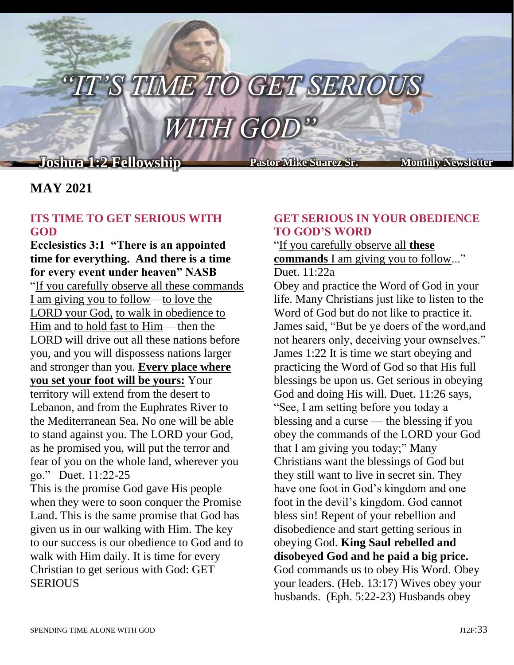# $\emph{TIME TO GET SERIO}$

# *WITH GOD"*

j

# **Joshua 1:2 Fellowship Pastor Mike Suarez Sr. Monthly Newsletter**

### **MAY 2021**

#### **ITS TIME TO GET SERIOUS WITH GOD**

**Ecclesistics 3:1 "There is an appointed time for everything. And there is a time for every event under heaven" NASB** "If you carefully observe all these commands I am giving you to follow—to love the LORD your God, to walk in obedience to Him and to hold fast to Him— then the LORD will drive out all these nations before you, and you will dispossess nations larger and stronger than you. **Every place where you set your foot will be yours:** Your territory will extend from the desert to Lebanon, and from the Euphrates River to the Mediterranean Sea. No one will be able to stand against you. The LORD your God, as he promised you, will put the terror and fear of you on the whole land, wherever you go." Duet. 11:22-25

This is the promise God gave His people when they were to soon conquer the Promise Land. This is the same promise that God has given us in our walking with Him. The key to our success is our obedience to God and to walk with Him daily. It is time for every Christian to get serious with God: GET **SERIOUS** 

#### **GET SERIOUS IN YOUR OBEDIENCE TO GOD'S WORD**

#### "If you carefully observe all **these commands** I am giving you to follow..." Duet. 11:22a

Obey and practice the Word of God in your life. Many Christians just like to listen to the Word of God but do not like to practice it. James said, "But be ye doers of the word,and not hearers only, deceiving your ownselves." James 1:22 It is time we start obeying and practicing the Word of God so that His full blessings be upon us. Get serious in obeying God and doing His will. Duet. 11:26 says, "See, I am setting before you today a blessing and a curse — the blessing if you obey the commands of the LORD your God that I am giving you today;" Many Christians want the blessings of God but they still want to live in secret sin. They have one foot in God's kingdom and one foot in the devil's kingdom. God cannot bless sin! Repent of your rebellion and disobedience and start getting serious in obeying God. **King Saul rebelled and disobeyed God and he paid a big price.** God commands us to obey His Word. Obey your leaders. (Heb. 13:17) Wives obey your husbands. (Eph. 5:22-23) Husbands obey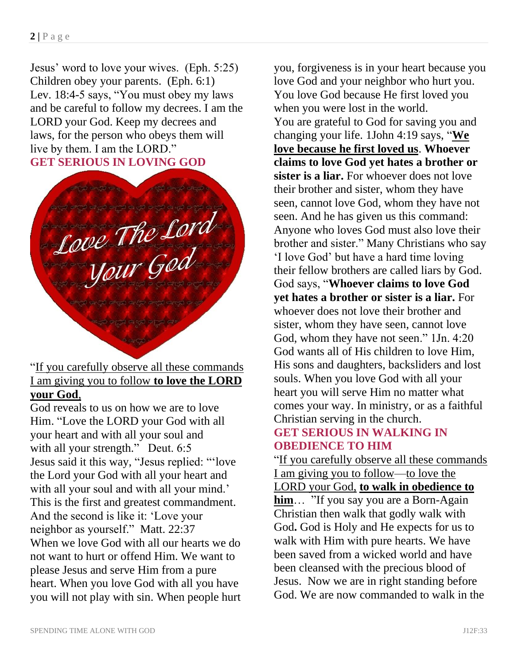Jesus' word to love your wives. (Eph. 5:25) Children obey your parents. (Eph. 6:1) Lev. 18:4-5 says, "You must obey my laws and be careful to follow my decrees. I am the LORD your God. Keep my decrees and laws, for the person who obeys them will live by them. I am the LORD." **GET SERIOUS IN LOVING GOD**

Love The Lord

"If you carefully observe all these commands I am giving you to follow **to love the LORD your God**,

God reveals to us on how we are to love Him. "Love the LORD your God with all your heart and with all your soul and with all your strength." Deut. 6:5 Jesus said it this way, "Jesus replied: "'love the Lord your God with all your heart and with all your soul and with all your mind.' This is the first and greatest commandment. And the second is like it: 'Love your neighbor as yourself." Matt. 22:37 When we love God with all our hearts we do not want to hurt or offend Him. We want to please Jesus and serve Him from a pure heart. When you love God with all you have you will not play with sin. When people hurt

you, forgiveness is in your heart because you love God and your neighbor who hurt you. You love God because He first loved you when you were lost in the world. You are grateful to God for saving you and changing your life. 1John 4:19 says, "**We love because he first loved us**. **Whoever claims to love God yet hates a brother or sister is a liar.** For whoever does not love their brother and sister, whom they have seen, cannot love God, whom they have not seen. And he has given us this command: Anyone who loves God must also love their brother and sister." Many Christians who say 'I love God' but have a hard time loving their fellow brothers are called liars by God. God says, "**Whoever claims to love God yet hates a brother or sister is a liar.** For whoever does not love their brother and sister, whom they have seen, cannot love God, whom they have not seen." 1Jn. 4:20 God wants all of His children to love Him, His sons and daughters, backsliders and lost souls. When you love God with all your heart you will serve Him no matter what comes your way. In ministry, or as a faithful Christian serving in the church. **GET SERIOUS IN WALKING IN** 

## **OBEDIENCE TO HIM**

"If you carefully observe all these commands I am giving you to follow—to love the LORD your God, **to walk in obedience to him**… "If you say you are a Born-Again Christian then walk that godly walk with God**.** God is Holy and He expects for us to walk with Him with pure hearts. We have been saved from a wicked world and have been cleansed with the precious blood of Jesus. Now we are in right standing before God. We are now commanded to walk in the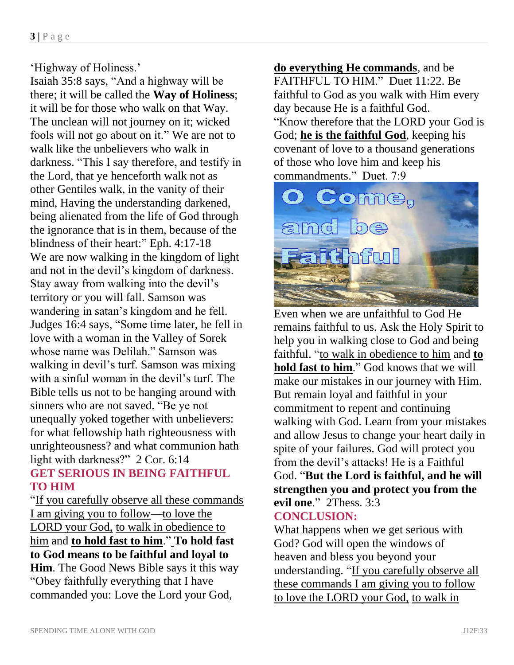#### 'Highway of Holiness.'

Isaiah 35:8 says, "And a highway will be there; it will be called the **Way of Holiness**; it will be for those who walk on that Way. The unclean will not journey on it; wicked fools will not go about on it." We are not to walk like the unbelievers who walk in darkness. "This I say therefore, and testify in the Lord, that ye henceforth walk not as other Gentiles walk, in the vanity of their mind, Having the understanding darkened, being alienated from the life of God through the ignorance that is in them, because of the blindness of their heart:" Eph. 4:17-18 We are now walking in the kingdom of light and not in the devil's kingdom of darkness. Stay away from walking into the devil's territory or you will fall. Samson was wandering in satan's kingdom and he fell. Judges 16:4 says, "Some time later, he fell in love with a woman in the Valley of Sorek whose name was Delilah." Samson was walking in devil's turf. Samson was mixing with a sinful woman in the devil's turf. The Bible tells us not to be hanging around with sinners who are not saved. "Be ye not unequally yoked together with unbelievers: for what fellowship hath righteousness with unrighteousness? and what communion hath light with darkness?" 2 Cor. 6:14 **GET SERIOUS IN BEING FAITHFUL** 

#### **TO HIM**

"If you carefully observe all these commands I am giving you to follow—to love the LORD your God, to walk in obedience to him and **to hold fast to him**." **To hold fast to God means to be faithful and loyal to Him**. The Good News Bible says it this way "Obey faithfully everything that I have commanded you: Love the Lord your God,

**do everything He commands**, and be FAITHFUL TO HIM." Duet 11:22. Be faithful to God as you walk with Him every day because He is a faithful God. "Know therefore that the LORD your God is God; **he is the faithful God**, keeping his covenant of love to a thousand generations of those who love him and keep his commandments." Duet. 7:9



Even when we are unfaithful to God He remains faithful to us. Ask the Holy Spirit to help you in walking close to God and being faithful. "to walk in obedience to him and **to hold fast to him**." God knows that we will make our mistakes in our journey with Him. But remain loyal and faithful in your commitment to repent and continuing walking with God. Learn from your mistakes and allow Jesus to change your heart daily in spite of your failures. God will protect you from the devil's attacks! He is a Faithful God. "**But the Lord is faithful, and he will strengthen you and protect you from the evil one**." 2Thess. 3:3 **CONCLUSION:**

What happens when we get serious with God? God will open the windows of heaven and bless you beyond your understanding. "If you carefully observe all these commands I am giving you to follow to love the LORD your God, to walk in